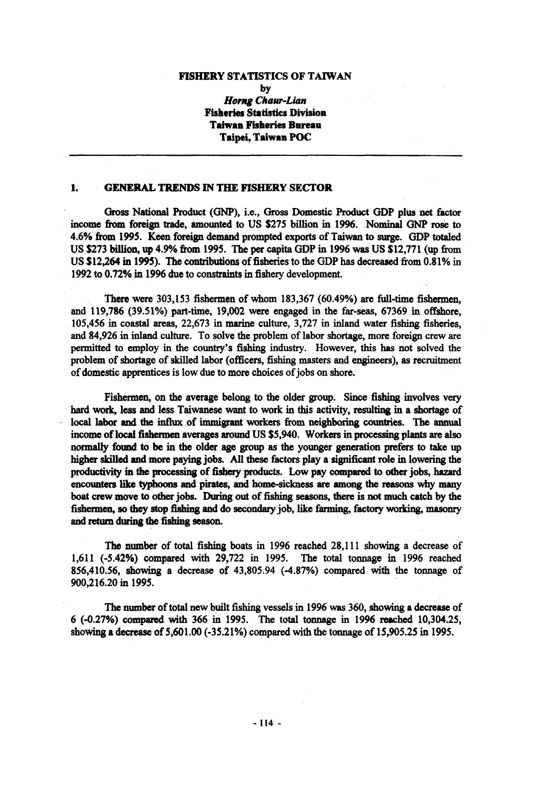#### **FISHERY STATISTICS OF TAIWAN**

**by**

**Horng Chaur-Lian Fisheries Statistics Division Taiwan Fisheries Bureau Taipei, Taiwan POC**

## **1. GENERAL TRENDS IN THE FISHERY SECTOR**

Gross National Product (GNP), i.e., Gross Domestic Product GDP plus net factor income from foreign trade, amounted to US \$275 billion in 1996. Nominal GNP rose to 4.6% from 1995. Keen foreign demand prompted exports of Taiwan to surge. GDP totaled US \$273 billion, up 4.9% from 1995. The per capita GDP in 1996 was US \$12,771 (up from US \$12,264 in 1995). The contributions of fisheries to the GDP has decreased from 0.81% in 1992 to 0.72% in 1996 due to constraints in fishery development.

There were 303,153 fishermen of whom 183,367 (60.49%) are full-time fishermen, and 119,786 (39.51%) part-time, 19,002 were engaged in the far-seas, 67369 in offshore, 105,456 in coastal areas, 22,673 in marine culture, 3,727 in inland water fishing fisheries, and 84,926 in inland culture. To solve the problem of labor shortage, more foreign crew are permitted to employ in the country's fishing industry. However, this has not solved the problem of shortage of skilled labor (officers, fishing masters and engineers), as recruitment of domestic apprentices is low due to more choices of jobs on shore.

Fishermen, on the average belong to the older group. Since fishing involves very hard work, less and less Taiwanese want to work in this activity, resulting in a shortage of local labor and the influx of immigrant workers from neighboring countries. The annual income of local fishermen averages around US \$5,940. Workers in processing plants are also normally found to be in the older age group as the younger generation prefers to take up higher skilled and more paying jobs. All these factors play a significant role in lowering the productivity in the processing of fishery products. Low pay compared to other jobs, hazard encounters like typhoons and pirates, and home-sickness are among the reasons why many boat crew move to other jobs. During out of fishing seasons, there is not much catch by the fishermen, so they stop fishing and do secondary job, like farming, factory working, masonry and return during the fishing season.

The number of total fishing boats in 1996 reached 28,111 showing a decrease of 1,611 (-5.42%) compared with 29,722 in 1995. The total tonnage in 1996 reached 856,410.56, showing a decrease of 43,805.94 (-4.87%) compared with the tonnage of 900,216.20 in 1995.

The number of total new built fishing vessels in 1996 was 360, showing a decrease of 6 (-0.27%) compared with 366 in 1995. The total tonnage in 1996 reached 10,304.25, showing a decrease of 5,601.00 (-35.21%) compared with the tonnage of 15,905.25 in 1995.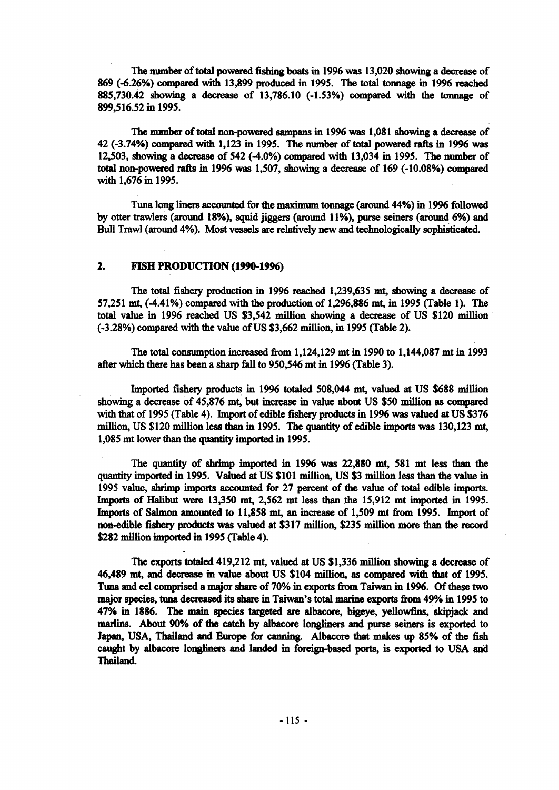The number of total powered fishing boats in 1996 was 13,020 showing a decrease of 869 (-6.26%) compared with 13,899 produced in 1995. The total tonnage in 1996 reached 885,730.42 showing a decrease of 13,786.10 (-1.53%) compared with the tonnage of 899,516.52 in 1995.

The number of total non-powered sampans in 1996 was 1,081 showing a decrease of 42 (-3.74%) compared with 1,123 in 1995. The number of total powered rafts in 1996 was 12,503, showing a decrease of 542 (-4.0%) compared with 13,034 in 1995. The number of total non-powered rafts in 1996 was 1,507, showing a decrease of 169 (-10.08%) compared with 1,676 in 1995.

Tuna long liners accounted for the maximum tonnage (around 44%) in 1996 followed by otter trawlers (around 18%), squid jiggers (around 11%), purse seiners (around 6%) and Bull Trawl (around 4%). Most vessels are relatively new and technologically sophisticated.

## **2. FISH PRODUCTION (1990-1996)**

The total fishery production in 1996 reached 1,239,635 mt, showing a decrease of 57,251 mt, (-4.41%) compared with the production of 1,296,886 mt, in 1995 (Table 1). The total value in 1996 reached US \$3,542 million showing a decrease of US \$120 million (-3.28%) compared with the value of US \$3,662 million, in 1995 (Table 2).

The total consumption increased from 1,124,129 mt in 1990 to 1,144,087 mt in 1993 after which there has been a sharp fall to 950,546 mt in 1996 (Table 3).

Imported fishery products in 1996 totaled 508,044 mt, valued at US \$688 million showing a decrease of 45,876 mt, but increase in value about US \$50 million as compared with that of 1995 (Table 4). Import of edible fishery products in 1996 was valued at US \$376 million, US \$120 million less than in 1995. The quantity of edible imports was 130,123 mt, 1,085 mt lower than the quantity imported in 1995.

The quantity of shrimp imported in 1996 was 22,880 mt, 581 mt less than the quantity imported in 1995. Valued at US \$101 million, US \$3 million less than the value in 1995 value, shrimp imports accounted for 27 percent of the value of total edible imports. Imports of Halibut were 13,350 mt, 2,562 mt less than the 15,912 mt imported in 1995. Imports of Salmon amounted to 11,858 mt, an increase of 1,509 mt from 1995. Import of non-edible fishery products was valued at \$317 million, \$235 million more than the record \$282 million imported in 1995 (Table 4).

The exports totaled 419,212 mt, valued at US \$1,336 million showing a decrease of 46,489 mt, and decrease in value about US \$104 million, as compared with that of 1995. Tuna and eel comprised a major share of 70% in exports from Taiwan in 1996. Of these two major species, tuna decreased its share in Taiwan's total marine exports from 49% in 1995 to 47% in 1886. The main species targeted are albacore, bigeye, yellowfins, skipjack and marlins. About 90% of the catch by albacore longliners and purse seiners is exported to Japan, USA, Thailand and Europe for canning. Albacore that makes up 85% of the fish caught by albacore longliners and landed in foreign-based ports, is exported to USA and Thailand.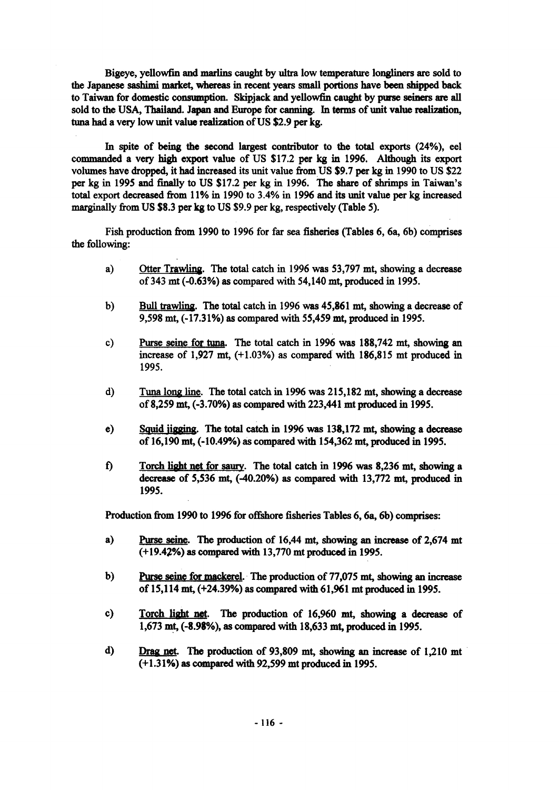Bigeye, yellowfin and marlins caught by ultra low temperature longliners are sold to the Japanese sashimi market, whereas in recent years small portions have been shipped back to Taiwan for domestic consumption. Skipjack and yellowfin caught by purse seiners are all sold to the USA, Thailand. Japan and Europe for canning. In terms of unit value realization, tuna had a very low unit value realization of US \$2.9 per kg.

In spite of being the second largest contributor to the total exports (24%), eel commanded a very high export value of US \$17.2 per kg in 1996. Although its export volumes have dropped, it had increased its unit value from US \$9.7 per kg in 1990 to US \$22 per kg in 1995 and finally to US \$17.2 per kg in 1996. The share of shrimps in Taiwan's total export decreased from 11% in 1990 to 3.4% in 1996 and its unit value per kg increased marginally from US \$8.3 per kg to US \$9.9 per kg, respectively (Table 5).

Fish production from 1990 to 1996 for far sea fisheries (Tables 6, 6a, 6b) comprises the following:

- a) Otter Trawling. The total catch in 1996 was 53,797 mt, showing a decrease of 343 mt (-0.63%) as compared with 54,140 mt, produced in 1995.
- b) Bull trawling. The total catch in 1996 was 45,861 mt, showing a decrease of 9,598 mt, (-17.31%) as compared with 55,459 mt, produced in 1995.
- c) Purse seine for tuna. The total catch in 1996 was 188,742 mt, showing an increase of 1,927 mt, (+1.03%) as compared with 186,815 mt produced in 1995.
- d) Tuna long line. The total catch in 1996 was 215,182 mt, showing a decrease of 8,259 mt, (-3.70%) as compared with 223,441 mt produced in 1995.
- e) Squid jigging. The total catch in 1996 was 138,172 mt, showing a decrease of 16,190 mt, (-10.49%) as compared with 154,362 mt, produced in 1995.
- f) Torch light net for saury. The total catch in 1996 was 8,236 mt, showing a decrease of 5,536 mt, (-40.20%) as compared with 13,772 mt, produced in 1995.

Production from 1990 to 1996 for offshore fisheries Tables 6, 6a, 6b) comprises:

- a) Purse seine. The production of 16,44 mt, showing an increase of 2,674 mt (+19.42%) as compared with 13,770 mt produced in 1995.
- b) Purse seine for mackerel. The production of 77,075 mt, showing an increase of 15,114 mt, (+24.39%) as compared with 61,961 mt produced in 1995.
- c) Torch light net. The production of 16,960 mt, showing a decrease of 1,673 mt, (-8.98%), as compared with 18,633 mt, produced in 1995.
- d) Drag net. The production of 93,809 mt, showing an increase of 1,210 mt (+1.31%) as compared with 92,599 mt produced in 1995.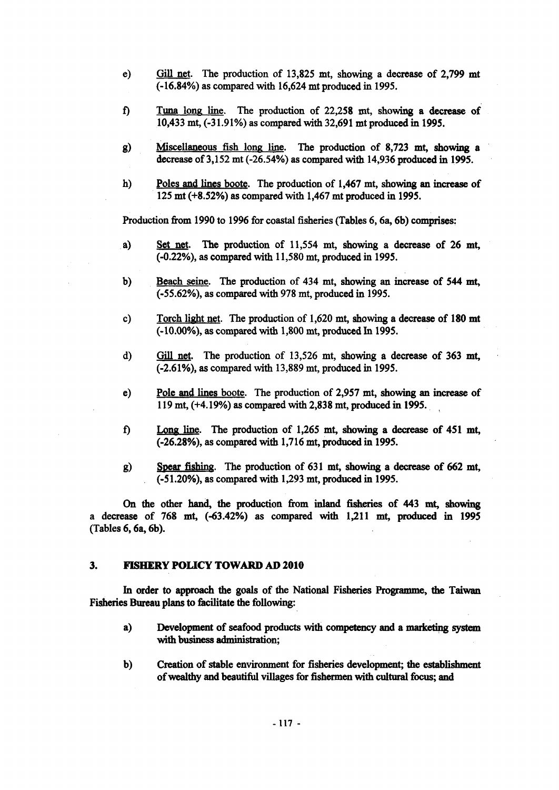- e) Gill net. The production of 13,825 mt, showing a decrease of 2,799 mt (-16.84%) as compared with 16,624 mt produced in 1995.
- f) Tuna long line. The production of 22,258 mt, showing a decrease of 10,433 mt, (-31.91%) as compared with 32,691 mt produced in 1995.
- g) Miscellaneous fish long line. The production of 8,723 mt, showing a decrease of 3,152 mt (-26.54%) as compared with 14,936 produced in 1995.
- h) Poles and lines boote. The production of 1,467 mt, showing an increase of 125 mt (+8.52%) as compared with 1,467 mt produced in 1995.

Production from 1990 to 1996 for coastal fisheries (Tables 6, 6a, 6b) comprises:

- a) Set net. The production of 11,554 mt, showing a decrease of 26 mt, (-0.22%), as compared with 11,580 mt, produced in 1995.
- b) Beach seine. The production of 434 mt, showing an increase of 544 mt, (-55.62%), as compared with 978 mt, produced in 1995.
- c) Torch light net. The production of 1,620 mt, showing a decrease of 180 mt (-10.00%), as compared with 1,800 mt, produced In 1995.
- d) Gill net. The production of 13,526 mt, showing a decrease of 363 mt, (-2.61%), as compared with 13,889 mt, produced in 1995.
- e) Pole and lines boote. The production of 2,957 mt, showing an increase of 119 mt, (+4.19%) as compared with 2,838 mt, produced in 1995.
- f) Long line. The production of 1,265 mt, showing a decrease of 451 mt, (-26.28%), as compared with 1,716 mt, produced in 1995.
- g) Spear fishing. The production of 631 mt, showing a decrease of 662 mt, (-51.20%), as compared with 1,293 mt, produced in 1995.

On the other hand, the production from inland fisheries of 443 mt, showing a decrease of 768 mt, (-63.42%) as compared with 1,211 mt, produced in 1995 (Tables 6, 6a, 6b).

## **3. FISHERY POLICY TOWARD AD 2010**

In order to approach the goals of the National Fisheries Programme, the Taiwan Fisheries Bureau plans to facilitate the following:

- a) Development of seafood products with competency and a marketing system with business administration;
- b) Creation of stable environment for fisheries development; the establishment of wealthy and beautiful villages for fishermen with cultural focus; and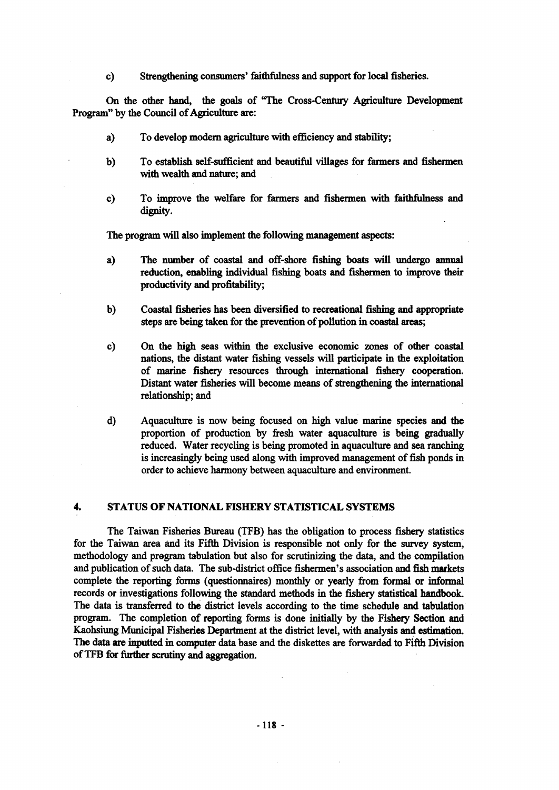c) Strengthening consumers' faithfulness and support for local fisheries.

On the other hand, the goals of "The Cross-Century Agriculture Development Program" by the Council of Agriculture are:

- a) To develop modem agriculture with efficiency and stability;
- b) To establish self-sufficient and beautiful villages for farmers and fishermen with wealth and nature; and
- c) To improve the welfare for farmers and fishermen with faithfulness and dignity.

The program will also implement the following management aspects:

- a) The number of coastal and off-shore fishing boats will undergo annual reduction, enabling individual fishing boats and fishermen to improve their productivity and profitability;
- b) Coastal fisheries has been diversified to recreational fishing and appropriate steps are being taken for the prevention of pollution in coastal areas;
- c) On the high seas within the exclusive economic zones of other coastal nations, the distant water fishing vessels will participate in the exploitation of marine fishery resources through international fishery cooperation. Distant water fisheries will become means of strengthening the international relationship; and
- d) Aquaculture is now being focused on high value marine species and the proportion of production by fresh water aquaculture is being gradually reduced. Water recycling is being promoted in aquaculture and sea ranching is increasingly being used along with improved management of fish ponds in order to achieve harmony between aquaculture and environment.

### **4. STATUS OF NATIONAL FISHERY STATISTICAL SYSTEMS**

The Taiwan Fisheries Bureau (TFB) has the obligation to process fishery statistics for the Taiwan area and its Fifth Division is responsible not only for the survey system, methodology and program tabulation but also for scrutinizing the data, and the compilation and publication of such data. The sub-district office fishermen's association and fish markets complete the reporting forms (questionnaires) monthly or yearly from formal or informal records or investigations following the standard methods in the fishery statistical handbook. The data is transferred to the district levels according to the time schedule and tabulation program. The completion of reporting forms is done initially by the Fishery Section and Kaohsiung Municipal Fisheries Department at the district level, with analysis and estimation. The data are inputted in computer data base and the diskettes are forwarded to Fifth Division of TFB for further scrutiny and aggregation.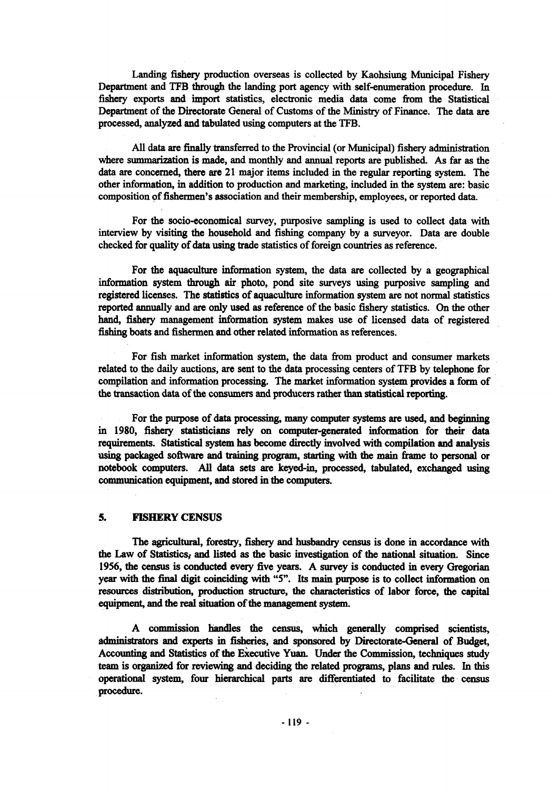Landing fishery production overseas is collected by Kaohsiung Municipal Fishery Department and TFB through the landing port agency with self-enumeration procedure. In fishery exports and import statistics, electronic media data come from the Statistical Department of the Directorate General of Customs of the Ministry of Finance. The data are processed, analyzed and tabulated using computers at the TFB.

All data are finally transferred to the Provincial (or Municipal) fishery administration where summarization is made, and monthly and annual reports are published. As far as the data are concerned, there are 21 major items included in the regular reporting system. The other information, in addition to production and marketing, included in the system are: basic composition of fishermen's association and their membership, employees, or reported data.

For the socio-economical survey, purposive sampling is used to collect data with interview by visiting the household and fishing company by a surveyor. Data are double checked for quality of data using trade statistics of foreign countries as reference.

For the aquaculture information system, the data are collected by a geographical information system through air photo, pond site surveys using purposive sampling and registered licenses. The statistics of aquaculture information system are not normal statistics reported annually and are only used as reference of the basic fishery statistics. On the other hand, fishery management information system makes use of licensed data of registered fishing boats and fishermen and other related information as references.

For fish market information system, the data from product and consumer markets related to the daily auctions, are sent to the data processing centers of TFB by telephone for compilation and information processing. The market information system provides a form of the transaction data of the consumers and producers rather than statistical reporting.

For the purpose of data processing, many computer systems are used, and beginning in 1980, fishery statisticians rely on computer-generated information for their data requirements. Statistical system has become directly involved with compilation and analysis using packaged software and training program, starting with the main frame to personal or notebook computers. All data sets are keyed-in, processed, tabulated, exchanged using communication equipment, and stored in the computers.

## **5. FISHERY CENSUS**

The agricultural, forestry, fishery and husbandry census is done in accordance with the Law of Statistics, and listed as the basic investigation of the national situation. Since 1956, the census is conducted every five years. A survey is conducted in every Gregorian year with the final digit coinciding with "5". Its main purpose is to collect information on resources distribution, production structure, the characteristics of labor force, the capital equipment, and the real situation of the management system.

A commission handles the census, which generally comprised scientists, administrators and experts in fisheries, and sponsored by Directorate-General of Budget, Accounting and Statistics of the Executive Yuan. Under the Commission, techniques study team is organized for reviewing and deciding the related programs, plans and rules. In this operational system, four hierarchical parts are differentiated to facilitate the census procedure.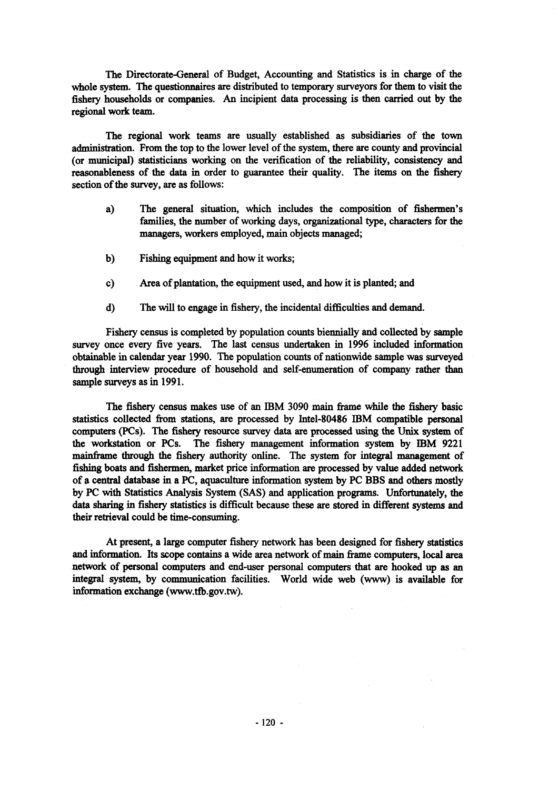The Directorate-General of Budget, Accounting and Statistics is in charge of the whole system. The questionnaires are distributed to temporary surveyors for them to visit the fishery households or companies. An incipient data processing is then carried out by the regional work team.

The regional work teams are usually established as subsidiaries of the town administration. From the top to the lower level of the system, there are county and provincial (or municipal) statisticians working on the verification of the reliability, consistency and reasonableness of the data in order to guarantee their quality. The items on the fishery section of the survey, are as follows:

- a) The general situation, which includes the composition of fishermen's families, the number of working days, organizational type, characters for the managers, workers employed, main objects managed;
- b) Fishing equipment and how it works;
- c) Area of plantation, the equipment used, and how it is planted; and
- d) The will to engage in fishery, the incidental difficulties and demand.

Fishery census is completed by population counts biennially and collected by sample survey once every five years. The last census undertaken in 1996 included information obtainable in calendar year 1990. The population counts of nationwide sample was surveyed through interview procedure of household and self-enumeration of company rather than sample surveys as in 1991.

The fishery census makes use of an IBM 3090 main frame while the fishery basic statistics collected from stations, are processed by Intel-80486 IBM compatible personal computers (PCs). The fishery resource survey data are processed using the Unix system of the workstation or PCs. The fishery management information system by IBM 9221 mainframe through the fishery authority online. The system for integral management of fishing boats and fishermen, market price information are processed by value added network of a central database in a PC, aquaculture information system by PC BBS and others mostly by PC with Statistics Analysis System (SAS) and application programs. Unfortunately, the data sharing in fishery statistics is difficult because these are stored in different systems and their retrieval could be time-consuming.

At present, a large computer fishery network has been designed for fishery statistics and information. Its scope contains a wide area network of main frame computers, local area network of personal computers and end-user personal computers that are hooked up as an integral system, by communication facilities. World wide web (www) is available for information exchange [\(www.tfb.gov.tw](http://www.tfb.gov.tw)).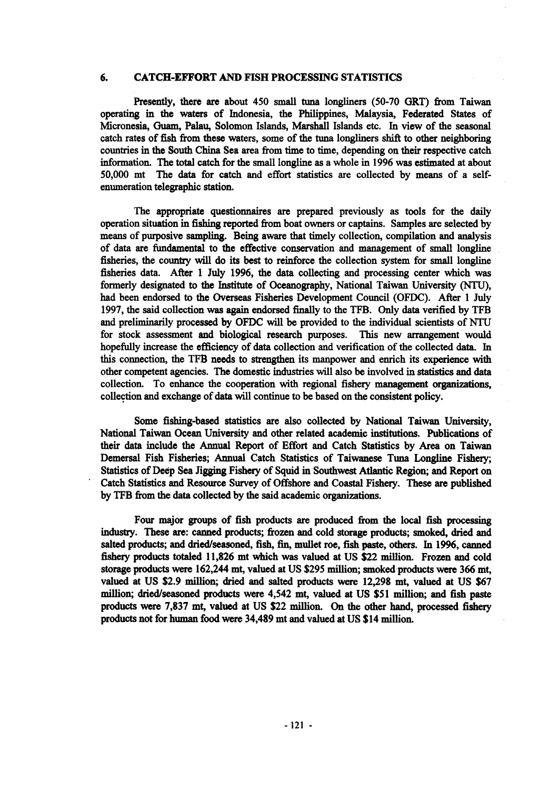## **6. CATCH-EFFORT AND FISH PROCESSING STATISTICS**

Presently, there are about 450 small tuna longliners (50-70 GRT) from Taiwan operating in the waters of Indonesia, the Philippines, Malaysia, Federated States of Micronesia, Guam, Palau, Solomon Islands, Marshall Islands etc. In view of the seasonal catch rates of fish from these waters, some of the tuna longliners shift to other neighboring countries in the South China Sea area from time to time, depending on their respective catch information. The total catch for the small longline as a whole in 1996 was estimated at about 50,000 mt The data for catch and effort statistics are collected by means of a selfenumeration telegraphic station.

The appropriate questionnaires are prepared previously as tools for the daily operation situation in fishing reported from boat owners or captains. Samples are selected by means of purposive sampling. Being aware that timely collection, compilation and analysis of data are fundamental to the effective conservation and management of small longline fisheries, the country will do its best to reinforce the collection system for small longline fisheries data. After 1 July 1996, the data collecting and processing center which was formerly designated to the Institute of Oceanography, National Taiwan University (NTU), had been endorsed to the Overseas Fisheries Development Council (OFDC). After 1 July 1997, the said collection was again endorsed finally to the TFB. Only data verified by TFB and preliminarily processed by OFDC will be provided to the individual scientists of NTU for stock assessment and biological research purposes. This new arrangement would hopefully increase the efficiency of data collection and verification of the collected data. In this connection, the TFB needs to strengthen its manpower and enrich its experience with other competent agencies. The domestic industries will also be involved in statistics and data collection. To enhance the cooperation with regional fishery management organizations, collection and exchange of data will continue to be based on the consistent policy.

Some fishing-based statistics are also collected by National Taiwan University, National Taiwan Ocean University and other related academic institutions. Publications of their data include the Annual Report of Effort and Catch Statistics by Area on Taiwan Demersal Fish Fisheries; Annual Catch Statistics of Taiwanese Tuna Longline Fishery; Statistics of Deep Sea Jigging Fishery of Squid in Southwest Atlantic Region; and Report on Catch Statistics and Resource Survey of Offshore and Coastal Fishery. These are published by TFB from the data collected by the said academic organizations.

Four major groups of fish products are produced from the local fish processing industry. These are: canned products; frozen and cold storage products; smoked, dried and salted products; and dried/seasoned, fish, fin, mullet roe, fish paste, others. In 1996, canned fishery products totaled 11,826 mt which was valued at US \$22 million. Frozen and cold storage products were 162,244 mt, valued at US \$295 million; smoked products were 366 mt, valued at US \$2.9 million; dried and salted products were 12,298 mt, valued at US \$67 million; dried/seasoned products were 4,542 mt, valued at US \$51 million; and fish paste products were 7,837 mt, valued at US \$22 million. On the other hand, processed fishery products not for human food were 34,489 mt and valued at US \$14 million.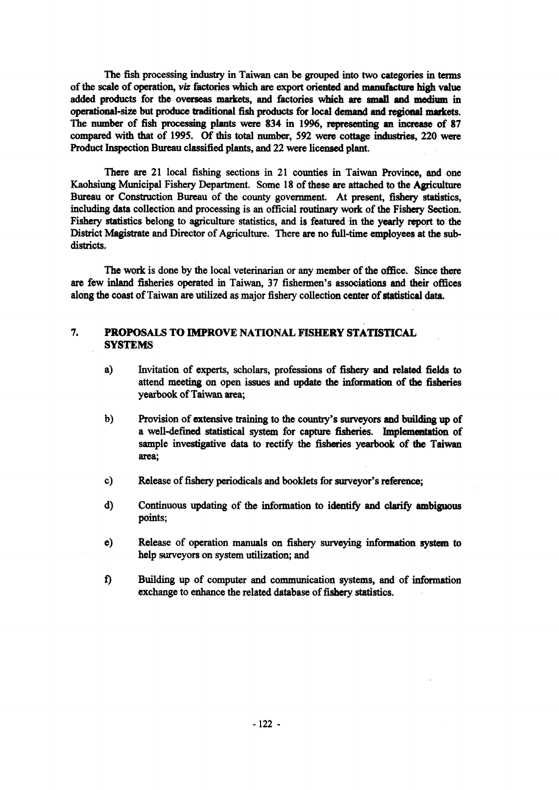The fish processing industry in Taiwan can be grouped into two categories in terms of the scale of operation, *viz* factories which are export oriented and manufacture high value added products for the overseas markets, and factories which are small and medium in operational-size but produce traditional fish products for local demand and regional markets. The number of fish processing plants were 834 in 1996, representing an increase of 87 compared with that of 1995. Of this total number, 592 were cottage industries, 220 were Product Inspection Bureau classified plants, and 22 were licensed plant.

There are 21 local fishing sections in 21 counties in Taiwan Province, and one Kaohsiung Municipal Fishery Department. Some 18 of these are attached to the Agriculture Bureau or Construction Bureau of the county government. At present, fishery statistics, including data collection and processing is an official routinary work of the Fishery Section. Fishery statistics belong to agriculture statistics, and is featured in the yearly report to the District Magistrate and Director of Agriculture. There are no full-time employees at the subdistricts.

The work is done by the local veterinarian or any member of the office. Since there are few inland fisheries operated in Taiwan, 37 fishermen's associations and their offices along the coast of Taiwan are utilized as major fishery collection center of statistical data.

## **7. PROPOSALS TO IMPROVE NATIONAL FISHERY STATISTICAL SYSTEMS**

- a) Invitation of experts, scholars, professions of fishery and related fields to attend meeting on open issues and update the information of the fisheries yearbook of Taiwan area;
- b) Provision of extensive training to the country's surveyors and building up of a well-defined statistical system for capture fisheries. Implementation of sample investigative data to rectify the fisheries yearbook of the Taiwan area;
- c) Release of fishery periodicals and booklets for surveyor's reference;
- d) Continuous updating of the information to identify and clarify ambiguous points;
- e) Release of operation manuals on fishery surveying information system to help surveyors on system utilization; and
- f) Building up of computer and communication systems, and of information exchange to enhance the related database of fishery statistics.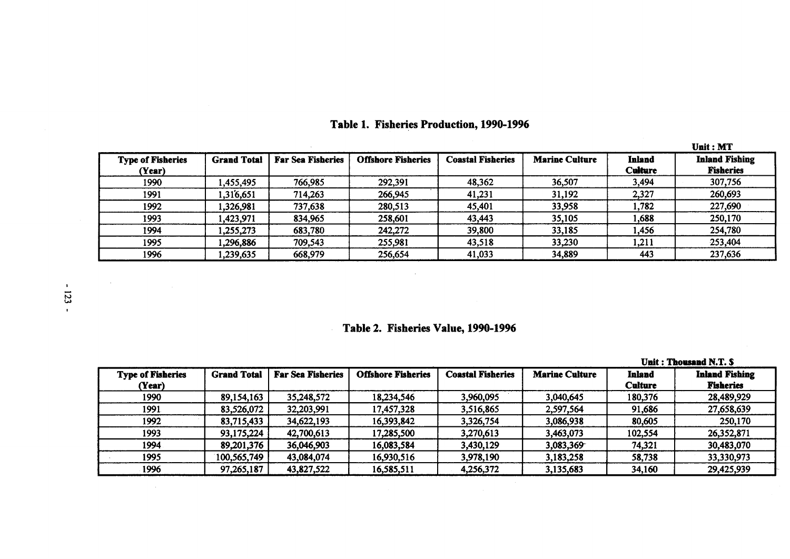|                                    |                    |                          |                           |                          |                       |                          | <b>Unit: MT</b>                           |
|------------------------------------|--------------------|--------------------------|---------------------------|--------------------------|-----------------------|--------------------------|-------------------------------------------|
| <b>Type of Fisheries</b><br>(Year) | <b>Grand Total</b> | <b>Far Sea Fisheries</b> | <b>Offshore Fisheries</b> | <b>Coastal Fisheries</b> | <b>Marine Culture</b> | Inland<br><b>Culture</b> | <b>Inland Fishing</b><br><b>Fisheries</b> |
| 1990                               | ,455,495           | 766,985                  | 292,391                   | 48,362                   | 36,507                | 3,494                    | 307,756                                   |
| 1991                               | 316,651,ا          | 714,263                  | 266,945                   | 41,231                   | 31,192                | 2,327                    | 260,693                                   |
| 1992                               | 1,326,981          | 737,638                  | 280,513                   | 45,401                   | 33,958                | 1,782                    | 227,690                                   |
| 1993                               | .423,971           | 834,965                  | 258,601                   | 43,443                   | 35,105                | 1,688                    | 250,170                                   |
| 1994                               | ,255,273           | 683,780                  | 242,272                   | 39,800                   | 33,185                | 1,456                    | 254,780                                   |
| 1995                               | 296,886,           | 709,543                  | 255,981                   | 43,518                   | 33,230                | 1,211                    | 253,404                                   |
| 1996                               | ,239,635           | 668,979                  | 256,654                   | 41,033                   | 34,889                | 443                      | 237,636                                   |

# **Table 1. Fisheries Production, 1990-1996**

# **Table 2. Fisheries Value, 1990-1996**

|                                    |                    |                          |                           |                          |                       | Unit: Thousand N.T. S.          |                                           |  |
|------------------------------------|--------------------|--------------------------|---------------------------|--------------------------|-----------------------|---------------------------------|-------------------------------------------|--|
| <b>Type of Fisheries</b><br>(Year) | <b>Grand Total</b> | <b>Far Sea Fisheries</b> | <b>Offshore Fisheries</b> | <b>Coastal Fisheries</b> | <b>Marine Culture</b> | <b>Inland</b><br><b>Culture</b> | <b>Inland Fishing</b><br><b>Fisheries</b> |  |
| 1990                               | 89,154,163         | 35,248,572               | 18,234,546                | 3,960,095                | 3,040,645             | 180,376                         | 28,489,929                                |  |
| 1991                               | 83,526,072         | 32,203,991               | 17,457,328                | 3,516,865                | 2,597,564             | 91,686                          | 27,658,639                                |  |
| 1992                               | 83,715,433         | 34,622,193               | 16,393,842                | 3,326,754                | 3,086,938             | 80,605                          | 250,170                                   |  |
| 1993                               | 93,175,224         | 42,700,613               | 17,285,500                | 3,270,613                | 3,463,073             | 102,554                         | 26,352,871                                |  |
| 1994                               | 89,201,376         | 36,046,903               | 16,083,584                | 3,430,129                | 3,083,369             | 74,321                          | 30,483,070                                |  |
| 1995                               | 100,565,749        | 43,084,074               | 16,930,516                | 3,978,190                | 3,183,258             | 58,738                          | 33,330,973                                |  |
| 1996                               | 97,265,187         | 43,827,522               | 16,585,511                | 4,256,372                | 3,135,683             | 34,160                          | 29,425,939                                |  |

 $\sim 100$  km s  $^{-1}$ 

 $\sim 10^{11}$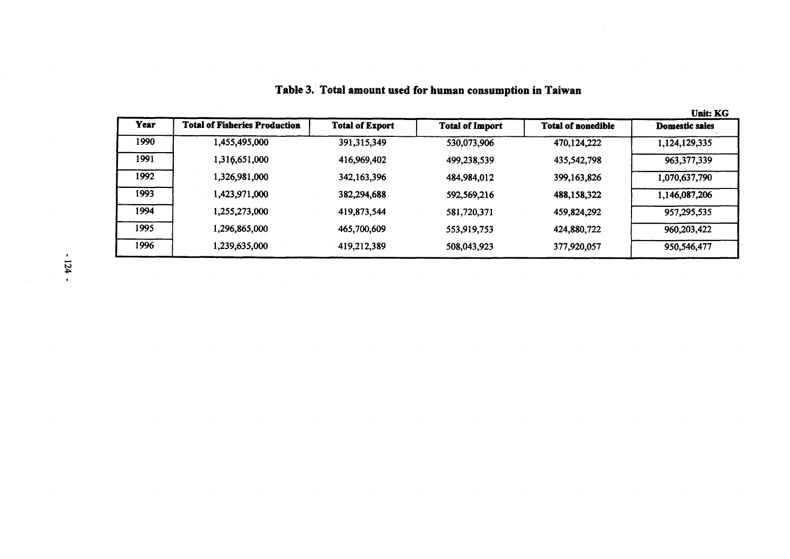|      |                                      |                        |                        |                           | <b>Unit: KG</b>       |
|------|--------------------------------------|------------------------|------------------------|---------------------------|-----------------------|
| Year | <b>Total of Fisheries Production</b> | <b>Total of Export</b> | <b>Total of Import</b> | <b>Total of nonedible</b> | <b>Domestic sales</b> |
| 1990 | 1,455,495,000                        | 391,315,349            | 530,073,906            | 470,124,222               | 1,124,129,335         |
| 1991 | 1,316,651,000                        | 416,969,402            | 499,238,539            | 435,542,798               | 963, 377, 339         |
| 1992 | 1,326,981,000                        | 342,163,396            | 484,984,012            | 399, 163, 826             | 1,070,637,790         |
| 1993 | 1,423,971,000                        | 382,294,688            | 592,569,216            | 488,158,322               | 1,146,087,206         |
| 1994 | 1,255,273,000                        | 419,873,544            | 581,720,371            | 459,824,292               | 957,295,535           |
| 1995 | 1,296,865,000                        | 465,700,609            | 553,919,753            | 424,880,722               | 960,203,422           |
| 1996 | 1,239,635,000                        | 419,212,389            | 508,043,923            | 377,920,057               | 950,546,477           |
|      |                                      |                        |                        |                           |                       |

**Table 3. Total amount used for human consumption in Taiwan**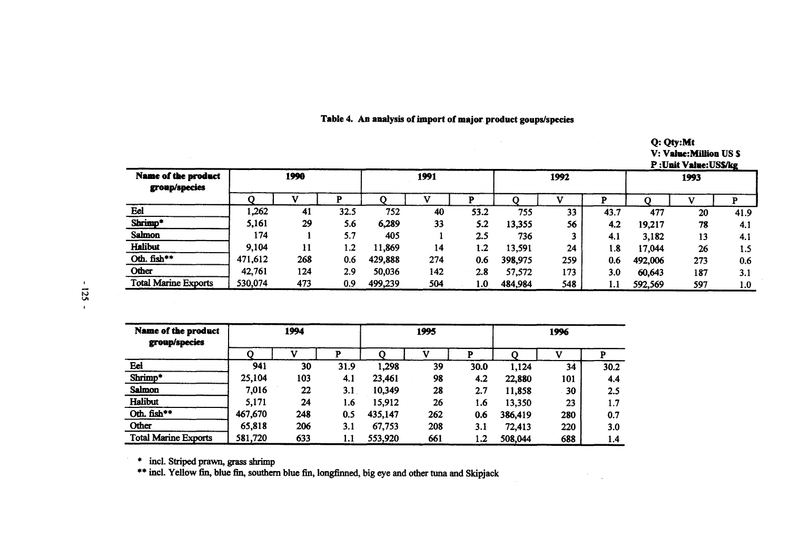|  | Table 4. An analysis of import of major product goups/species |  |
|--|---------------------------------------------------------------|--|
|  |                                                               |  |

**Q: Qty:Mt V: Value:Million US \$**

 $\mathbf{r}$ 

|                                             |         |     |      |         |     |      |         |     |      |         | P:Unit Value:US\$/kg |      |
|---------------------------------------------|---------|-----|------|---------|-----|------|---------|-----|------|---------|----------------------|------|
| <b>Name of the product</b><br>group/species | 1990    |     |      | 1991    |     |      | 1992    |     |      | 1993    |                      |      |
|                                             |         |     |      |         |     |      |         |     | p    |         |                      |      |
| Eel                                         | 262,    | 41  | 32.5 | 752     | 40  | 53.2 | 755     | 33  | 43.7 | 477     | 20                   | 41.9 |
| Shrimp*                                     | 5,161   | 29  | 5.6  | 6,289   | 33  | 5.2  | 13,355  | 56  | 4.2  | 19,217  | 78                   | 4.1  |
| Salmon                                      | 174     |     | 5.7  | 405     |     | 2.5  | 736     |     | 4.1  | 3,182   | 13                   | 4.1  |
| Halibut                                     | 9,104   | 11  | 1.2  | 11,869  | 14  | 1.2  | 13,591  | 24  | 1.8  | 17,044  | 26                   | 1.5  |
| Oth. fish**                                 | 471,612 | 268 | 0.6  | 429,888 | 274 | 0.6  | 398,975 | 259 | 0.6  | 492,006 | 273                  | 0.6  |
| Other                                       | 42,761  | 124 | 2.9  | 50,036  | 142 | 2.8  | 57,572  | 173 | 3.0  | 60,643  | 187                  | 3.1  |
| <b>Total Marine Exports</b>                 | 530,074 | 473 | 0.9  | 499,239 | 504 | 1.0  | 484,984 | 548 | 1.1  | 592,569 | 597                  | 1.0  |

| Name of the product<br>group/species | 1994    |     |      | 1995    |     |      | 1996    |     |      |
|--------------------------------------|---------|-----|------|---------|-----|------|---------|-----|------|
|                                      |         |     | D    |         |     | P    |         |     |      |
| Eel                                  | 941     | 30  | 31.9 | 1,298   | 39  | 30.0 | 1,124   | 34  | 30.2 |
| Shrimp*                              | 25,104  | 103 | 4.1  | 23,461  | 98  | 4.2  | 22,880  | 101 | 4.4  |
| <b>Salmon</b>                        | 7,016   | 22  | 3.1  | 10,349  | 28  | 2.7  | 11,858  | 30  | 2.5  |
| Halibut                              | 5,171   | 24  | 1.6  | 15,912  | 26  | 1.6  | 13,350  | 23  | 1.7  |
| Oth. fish**                          | 467,670 | 248 | 0.5  | 435,147 | 262 | 0.6  | 386,419 | 280 | 0.7  |
| Other                                | 65,818  | 206 | 3.1  | 67,753  | 208 | 3.1  | 72,413  | 220 | 3.0  |
| <b>Total Marine Exports</b>          | 581,720 | 633 | 1.1  | 553,920 | 661 | 1.2  | 508,044 | 688 | 1.4  |

**\* incl. Striped prawn, grass shrimp**

**\*\* incl. Yellow fin, blue fin, southern blue fin, longfinned, big eye and other tuna and Skipjack**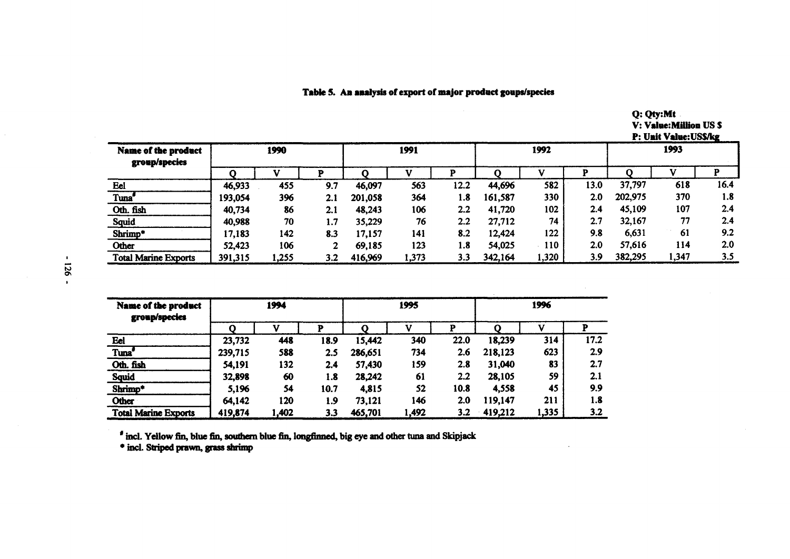## **Table 5. An analysis of export of major product goups/species**

**Q: Qty:Mt V: Value:Million US \$ P: Unit Value:US\$/kg**

| <b>Name of the product</b><br>group/species | 1990    |       | 1991 |         |       | 1992 |         |       | 1993 |         |       |      |
|---------------------------------------------|---------|-------|------|---------|-------|------|---------|-------|------|---------|-------|------|
|                                             |         |       |      |         |       |      |         |       |      |         |       |      |
| Eel                                         | 46,933  | 455   | 9.7  | 46,097  | 563   | 12.2 | 44,696  | 582   | 13.0 | 37,797  | 618   | 16.4 |
| Tuna'                                       | 193,054 | 396   | 2.1  | 201,058 | 364   | 1.8  | 161,587 | 330   | 2.0  | 202,975 | 370   | 1.8  |
| Oth. fish                                   | 40,734  | 86    | 2.1  | 48,243  | 106   | 2.2  | 41,720  | 102   | 2.4  | 45,109  | 107   | 2.4  |
| <b>Squid</b>                                | 40,988  | 70    | 1.7  | 35,229  | 76    | 2.2  | 27,712  | 74    | 2.7  | 32,167  | 77    | 2.4  |
| Shrimp*                                     | 17,183  | 142   | 8.3  | 17,157  | 141   | 8.2  | 12,424  | 122   | 9.8  | 6,631   | 61    | 9.2  |
| Other                                       | 52,423  | 106   |      | 69,185  | 123   | 1.8  | 54,025  | 110   | 2.0  | 57,616  | 114   | 2.0  |
| <b>Total Marine Exports</b>                 | 391,315 | 1,255 | 3.2  | 416,969 | 1,373 | 3.3  | 342,164 | 1,320 | 3.9  | 382,295 | 1,347 | 3.5  |

| <b>Name of the product</b><br>group/species |         | 1994  |      |         | 1995  |      | 1996    |       |      |
|---------------------------------------------|---------|-------|------|---------|-------|------|---------|-------|------|
|                                             |         |       | P    |         |       | P    |         |       |      |
| Eel                                         | 23,732  | 448   | 18.9 | 15,442  | 340   | 22.0 | 18,239  | 314   | 17.2 |
| Tuna <sup>#</sup>                           | 239,715 | 588   | 2.5  | 286,651 | 734   | 2.6  | 218,123 | 623   | 2.9  |
| Oth. fish                                   | 54,191  | 132   | 2.4  | 57,430  | 159   | 2.8  | 31,040  | 83    | 2.7  |
| <b>Squid</b>                                | 32,898  | 60    | 1.8  | 28,242  | 61    | 2.2  | 28,105  | 59    | 2.1  |
| Shrimp*                                     | 5,196   | 54    | 10.7 | 4,815   | 52    | 10.8 | 4,558   | 45    | 9.9  |
| Other                                       | 64,142  | 120   | 1.9  | 73,121  | 146   | 2.0  | 119,147 | 211   | 1.8  |
| <b>Total Marine Exports</b>                 | 419,874 | 1,402 | 3.3  | 465,701 | 1,492 | 3.2  | 419,212 | 1,335 | 3.2  |

# incl. Yellow fin, blue fin, southern blue fin, longfinned, big eye and other tuna and Skipjack

\* incl. Striped prawn, grass shrimp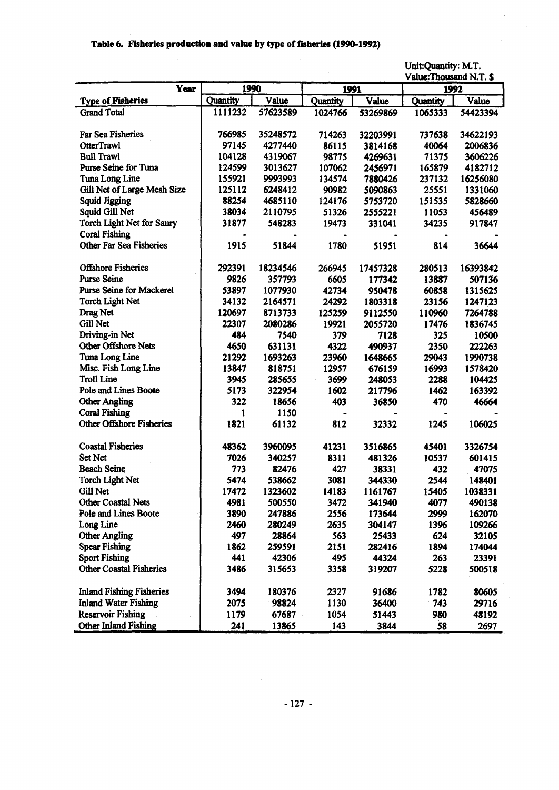## **Table 6. Fisheries production and value by type of fisheries (1990-1992)**

l,

|                                 |          |          |          |          | Unit:Quantity: M.T.    |          |
|---------------------------------|----------|----------|----------|----------|------------------------|----------|
|                                 |          |          |          |          | Value:Thousand N.T. \$ |          |
| Year                            |          | 1990     |          | 1991     |                        | 1992     |
| <b>Type of Fisheries</b>        | Quantity | Value    | Quantity | Value    | <b>Quantity</b>        | Value    |
| <b>Grand Total</b>              | 1111232  | 57623589 | 1024766  | 53269869 | 1065333                | 54423394 |
| <b>Far Sea Fisheries</b>        | 766985   | 35248572 | 714263   | 32203991 | 737638                 | 34622193 |
| <b>OtterTrawl</b>               | 97145    | 4277440  | 86115    | 3814168  | 40064                  | 2006836  |
| <b>Bull Trawl</b>               | 104128   | 4319067  | 98775    | 4269631  | 71375                  | 3606226  |
| Purse Seine for Tuna            | 124599   | 3013627  | 107062   | 2456971  | 165879                 | 4182712  |
| Tuna Long Line                  | 155921   | 9993993  | 134574   | 7880426  | 237132                 | 16256080 |
| Gill Net of Large Mesh Size     | 125112   | 6248412  | 90982    | 5090863  | 25551                  | 1331060  |
| <b>Squid Jigging</b>            | 88254    | 4685110  | 124176   | 5753720  | 151535                 | 5828660  |
| Squid Gill Net                  | 38034    | 2110795  | 51326    | 2555221  | 11053                  | 456489   |
| Torch Light Net for Saury       | 31877    | 548283   | 19473    | 331041   | 34235                  | 917847   |
| <b>Coral Fishing</b>            |          |          |          |          |                        |          |
| <b>Other Far Sea Fisheries</b>  | 1915     | 51844    | 1780     | 51951    | 814                    | 36644    |
| <b>Offshore Fisheries</b>       | 292391   | 18234546 | 266945   | 17457328 | 280513                 | 16393842 |
| <b>Purse Seine</b>              | 9826     | 357793   | 6605     | 177342   | 13887                  | 507136   |
| <b>Purse Seine for Mackerel</b> | 53897    | 1077930  | 42734    | 950478   | 60858                  | 1315625  |
| <b>Torch Light Net</b>          | 34132    | 2164571  | 24292    | 1803318  | 23156                  | 1247123  |
| Drag Net                        | 120697   | 8713733  | 125259   | 9112550  | 110960                 | 7264788  |
| Gill Net                        | 22307    | 2080286  | 19921    | 2055720  | 17476                  | 1836745  |
| Driving-in Net                  | 484      | 7540     | 379      | 7128     | 325                    | 10500    |
| Other Offshore Nets             | 4650     | 631131   | 4322     | 490937   | 2350                   | 222263   |
| Tuna Long Line                  | 21292    | 1693263  | 23960    | 1648665  | 29043                  | 1990738  |
| Misc. Fish Long Line            | 13847    | 818751   | 12957    | 676159   | 16993                  | 1578420  |
| <b>Troll Line</b>               | 3945     | 285655   | 3699     | 248053   | 2288                   | 104425   |
| Pole and Lines Boote            | 5173     | 322954   | 1602     | 217796   | 1462                   | 163392   |
| <b>Other Angling</b>            | 322      | 18656    | 403      | 36850    | 470                    | 46664    |
| <b>Coral Fishing</b>            | 1        | 1150     |          |          |                        |          |
| Other Offshore Fisheries        | 1821     | 61132    | 812      | 32332    | 1245                   | 106025   |
| <b>Coastal Fisheries</b>        | 48362    | 3960095  | 41231    | 3516865  | 45401                  | 3326754  |
| Set Net                         | 7026     | 340257   | 8311     | 481326   | 10537                  | 601415   |
| <b>Beach Seine</b>              | 773      | 82476    | 427      | 38331    | 432                    | 47075    |
| <b>Torch Light Net</b>          | 5474     | 538662   | 3081     | 344330   | 2544                   | 148401   |
| Gill Net                        | 17472    | 1323602  | 14183    | 1161767  | 15405                  | 1038331  |
| Other Coastal Nets              | 4981     | 500550   | 3472     | 341940   | 4077                   | 490138   |
| Pole and Lines Boote            | 3890     | 247886   | 2556     | 173644   | 2999                   | 162070   |
| Long Line                       | 2460     | 280249   | 2635     | 304147   | 1396                   | 109266   |
| <b>Other Angling</b>            | 497      | 28864    | 563      | 25433    | 624                    | 32105    |
| <b>Spear Fishing</b>            | 1862     | 259591   | 2151     | 282416   | 1894                   | 174044   |
| <b>Sport Fishing</b>            | 441      | 42306    | 495      | 44324    | 263                    | 23391    |
| <b>Other Coastal Fisheries</b>  | 3486     | 315653   | 3358     | 319207   | 5228                   | 500518   |
| <b>Inland Fishing Fisheries</b> | 3494     | 180376   | 2327     | 91686    | 1782                   | 80605    |
| <b>Inland Water Fishing</b>     | 2075     | 98824    | 1130     | 36400    | 743                    | 29716    |
| <b>Reservoir Fishing</b>        | 1179     | 67687    | 1054     | 51443    | 980                    | 48192    |
| Other Inland Fishing            | 241      | 13865    | 143      | 3844     | 58                     | 2697     |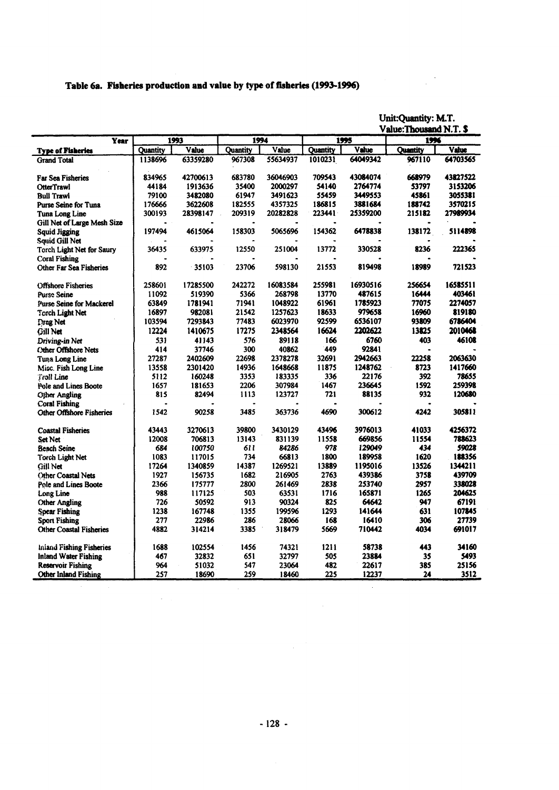#### **Table 6a. Fisheries production and value by type of fisheries (1999-1996)**

**Unit:Quantity: M.T.**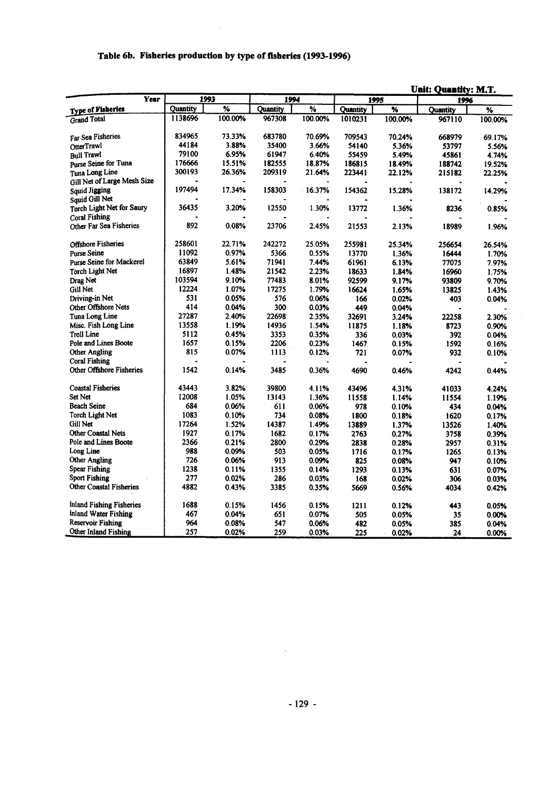# **Table 6b. Fisheries production by type of fisheries (1993-1996)**

 $\mathcal{L}$ 

|                                |                 |                          |          |                 |                 | <b>Unit: Quantity: M.T.</b> |                 |                          |  |  |  |
|--------------------------------|-----------------|--------------------------|----------|-----------------|-----------------|-----------------------------|-----------------|--------------------------|--|--|--|
| Year                           |                 | 1993                     | 1994     |                 |                 | 1995                        | 1996            |                          |  |  |  |
| <b>Type of Fisheries</b>       | <b>Quantity</b> | $\overline{\mathcal{U}}$ | Quantity | $\overline{\%}$ | <b>Ouantity</b> | $\overline{\mathcal{H}}$    | <b>Quantity</b> | $\overline{\mathcal{U}}$ |  |  |  |
| <b>Grand Total</b>             | 1138696         | 100.00%                  | 967308   | 100.00%         | 1010231         | 100.00%                     | 967110          | 100.00%                  |  |  |  |
|                                |                 |                          |          |                 |                 |                             |                 |                          |  |  |  |
| Far Sea Fisheries              | 834965          | 73.33%                   | 683780   | 70.69%          | 709543          | 70.24%                      | 668979          | 69.17%                   |  |  |  |
| OtterTrawl                     | 44184           | 3.88%                    | 35400    | 3.66%           | 54140           | 5.36%                       | 53797           | 5.56%                    |  |  |  |
| <b>Bull Trawl</b>              | 79100           | 6.95%                    | 61947    | 6.40%           | 55459           | 5.49%                       | 45861           | 4.74%                    |  |  |  |
| Purse Seine for Tuna           | 176666          | 15.51%                   | 182555   | 18.87%          | 186815          | 18.49%                      | 188742          | 19.52%                   |  |  |  |
| Tuna Long Line                 | 300193          | 26.36%                   | 209319   | 21.64%          | 223441          | 22.12%                      | 215182          | 22.25%                   |  |  |  |
| Gill Net of Large Mesh Size    |                 |                          |          |                 |                 |                             |                 |                          |  |  |  |
| Squid Jigging                  | 197494          | 17.34%                   | 158303   | 16.37%          | 154362          | 15.28%                      | 138172          | 14.29%                   |  |  |  |
| Squid Gill Net                 |                 |                          |          |                 |                 |                             |                 |                          |  |  |  |
| Torch Light Net for Saury      | 36435           | 3.20%                    | 12550    | 1.30%           | 13772           | 1.36%                       | 8236            | 0.85%                    |  |  |  |
| <b>Coral Fishing</b>           |                 |                          |          |                 |                 |                             |                 |                          |  |  |  |
| Other Far Sea Fisheries        | 892             | 0.08%                    | 23706    | 2.45%           | 21553           | 2.13%                       | 18989           | 1.96%                    |  |  |  |
|                                |                 |                          |          |                 |                 |                             |                 |                          |  |  |  |
| <b>Offshore Fisheries</b>      | 258601          | 22.71%                   | 242272   | 25.05%          | 255981          | 25.34%                      | 256654          | 26.54%                   |  |  |  |
| <b>Purse Seine</b>             | 11092           | 0.97%                    | 5366     | 0.55%           | 13770           | 1.36%                       | 16444           | 1.70%                    |  |  |  |
| Purse Seine for Mackerel       | 63849           | 5.61%                    | 71941    | 7.44%           | 61961           | 6.13%                       | 77075           | 7.97%                    |  |  |  |
| <b>Torch Light Net</b>         | 16897           | 1.48%                    | 21542    | 2.23%           | 18633           | 1.84%                       | 16960           | 1.75%                    |  |  |  |
| Drag Net                       | 103594          | 9.10%                    | 77483    | 8.01%           | 92599           | 9.17%                       | 93809           | 9.70%                    |  |  |  |
| Gill Net                       | 12224           | 1.07%                    | 17275    | 1.79%           | 16624           | 1.65%                       | 13825           | 1.43%                    |  |  |  |
| Driving-in Net                 | 531             | 0.05%                    | 576      | 0.06%           | 166             | 0.02%                       | 403             | 0.04%                    |  |  |  |
| Other Offshore Nets            | 414             | 0.04%                    | 300      | 0.03%           | 449             | 0.04%                       |                 |                          |  |  |  |
| Tuna Long Line                 | 27287           | 2.40%                    | 22698    | 2.35%           | 32691           | 3.24%                       | 22258           | 2.30%                    |  |  |  |
| Misc. Fish Long Line           | 13558           | 1.19%                    | 14936    | 1.54%           | 11875           | 1.18%                       | 8723            | 0.90%                    |  |  |  |
| <b>Troll Line</b>              | 5112            | 0.45%                    | 3353     | 0.35%           | 336             | 0.03%                       | 392             | 0.04%                    |  |  |  |
| Pole and Lines Boote           | 1657            | 0.15%                    | 2206     | 0.23%           | 1467            | 0.15%                       | 1592            | 0.16%                    |  |  |  |
| <b>Other Angling</b>           | 815             | 0.07%                    | 1113     | 0.12%           | 721             | 0.07%                       | 932             | 0.10%                    |  |  |  |
| <b>Coral Fishing</b>           |                 |                          |          |                 |                 |                             |                 |                          |  |  |  |
| Other Offshore Fisheries       | 1542            | 0.14%                    | 3485     | 0.36%           | 4690            | 0.46%                       | 4242            | 0.44%                    |  |  |  |
|                                |                 |                          |          |                 |                 |                             |                 |                          |  |  |  |
| <b>Coastal Fisheries</b>       | 43443           | 3.82%                    | 39800    | 4.11%           | 43496           | 4.31%                       | 41033           | 4.24%                    |  |  |  |
| Set Net                        | 12008           | 1.05%                    | 13143    | 1.36%           | 11558           | 1.14%                       | 11554           | 1.19%                    |  |  |  |
| <b>Beach Seine</b>             | 684             | 0.06%                    | 611      | 0.06%           | 978             | 0.10%                       | 434             | 0.04%                    |  |  |  |
| Torch Light Net                | 1083            | 0.10%                    | 734      | 0.08%           | 1800            | 0.18%                       | 1620            | 0.17%                    |  |  |  |
| Gill Net                       | 17264           | 1.52%                    | 14387    | 1.49%           | 13889           | 1.37%                       | 13526           | 1.40%                    |  |  |  |
| <b>Other Coastal Nets</b>      | 1927            | 0.17%                    | 1682     | 0.17%           | 2763            | 0.27%                       | 3758            | 0.39%                    |  |  |  |
| Pole and Lines Boote           | 2366            | 0.21%                    | 2800     | 0.29%           | 2838            | 0.28%                       | 2957            | 0.31%                    |  |  |  |
| Long Line                      | 988             | 0.09%                    | 503      | 0.05%           | 1716            | 0.17%                       | 1265            | 0.13%                    |  |  |  |
| <b>Other Angling</b>           | 726             | 0.06%                    | 913      | 0.09%           | 825             | 0.08%                       | 947             | 0.10%                    |  |  |  |
| <b>Spear Fishing</b>           | 1238            | 0.11%                    | 1355     | 0.14%           | 1293            | 0.13%                       | 631             | 0.07%                    |  |  |  |
| <b>Sport Fishing</b>           | 277             | 0.02%                    | 286      | 0.03%           | 168             | 0.02%                       | 306             | 0.03%                    |  |  |  |
| <b>Other Coastal Fisheries</b> | 4882            | 0.43%                    | 3385     | 0.35%           | 5669            | 0.56%                       | 4034            | 0.42%                    |  |  |  |
|                                |                 |                          |          |                 |                 |                             |                 |                          |  |  |  |
| Inland Fishing Fisheries       | 1688            | 0.15%                    | 1456     | 0.15%           | 1211            | 0.12%                       | 443             | 0.05%                    |  |  |  |
| Inland Water Fishing           | 467             | 0.04%                    | 651      | 0.07%           | 505             | 0.05%                       | 35              | 0.00%                    |  |  |  |
| Reservoir Fishing              | 964             | 0.08%                    | 547      | 0.06%           | 482             | 0.05%                       | 385             | 0.04%                    |  |  |  |
| Other Inland Fishing           | 257             | 0.02%                    | 259      | 0.03%           | 225             | 0.02%                       | 24              | 0.00%                    |  |  |  |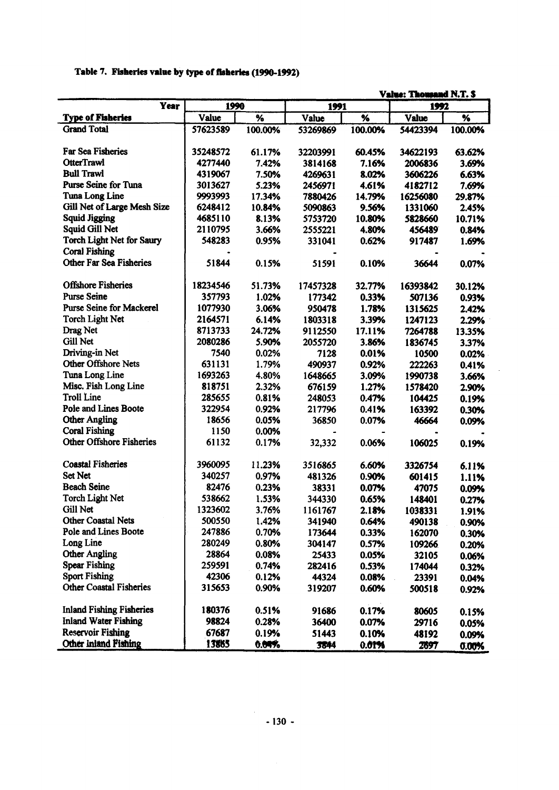|  |  | Table 7. Fisheries value by type of fisheries (1990-1992) |  |
|--|--|-----------------------------------------------------------|--|
|  |  |                                                           |  |

| Value: Thousand N.T. \$         |          |         |          |         |          |         |  |  |  |
|---------------------------------|----------|---------|----------|---------|----------|---------|--|--|--|
| Year                            | 1990     |         | 1991     |         | 1992     |         |  |  |  |
| <b>Type of Fisheries</b>        | Value    | %       | Value    | %       | Value    | %       |  |  |  |
| <b>Grand Total</b>              | 57623589 | 100.00% | 53269869 | 100.00% | 54423394 | 100.00% |  |  |  |
|                                 |          |         |          |         |          |         |  |  |  |
| <b>Far Sea Fisheries</b>        | 35248572 | 61.17%  | 32203991 | 60.45%  | 34622193 | 63.62%  |  |  |  |
| <b>OtterTrawl</b>               | 4277440  | 7.42%   | 3814168  | 7.16%   | 2006836  | 3.69%   |  |  |  |
| <b>Bull Trawl</b>               | 4319067  | 7.50%   | 4269631  | 8.02%   | 3606226  | 6.63%   |  |  |  |
| <b>Purse Seine for Tuna</b>     | 3013627  | 5.23%   | 2456971  | 4.61%   | 4182712  | 7.69%   |  |  |  |
| Tuna Long Line                  | 9993993  | 17.34%  | 7880426  | 14.79%  | 16256080 | 29.87%  |  |  |  |
| Gill Net of Large Mesh Size     | 6248412  | 10.84%  | 5090863  | 9.56%   | 1331060  | 2.45%   |  |  |  |
| <b>Squid Jigging</b>            | 4685110  | 8.13%   | 5753720  | 10.80%  | 5828660  | 10.71%  |  |  |  |
| Squid Gill Net                  | 2110795  | 3.66%   | 2555221  | 4.80%   | 456489   | 0.84%   |  |  |  |
| Torch Light Net for Saury       | 548283   | 0.95%   | 331041   | 0.62%   | 917487   | 1.69%   |  |  |  |
| <b>Coral Fishing</b>            |          |         |          |         |          |         |  |  |  |
| <b>Other Far Sea Fisheries</b>  | 51844    | 0.15%   | 51591    | 0.10%   | 36644    | 0.07%   |  |  |  |
|                                 |          |         |          |         |          |         |  |  |  |
| <b>Offshore Fisheries</b>       | 18234546 | 51.73%  | 17457328 | 32.77%  | 16393842 | 30.12%  |  |  |  |
| <b>Purse Seine</b>              | 357793   | 1.02%   | 177342   | 0.33%   | 507136   | 0.93%   |  |  |  |
| <b>Purse Seine for Mackerel</b> | 1077930  | 3.06%   | 950478   | 1.78%   | 1315625  | 2.42%   |  |  |  |
| <b>Torch Light Net</b>          | 2164571  | 6.14%   | 1803318  | 3.39%   | 1247123  | 2.29%   |  |  |  |
| Drag Net                        | 8713733  | 24.72%  | 9112550  | 17.11%  | 7264788  | 13.35%  |  |  |  |
| Gill Net                        | 2080286  | 5.90%   | 2055720  | 3.86%   | 1836745  | 3.37%   |  |  |  |
| Driving-in Net                  | 7540     | 0.02%   | 7128     | 0.01%   | 10500    | 0.02%   |  |  |  |
| <b>Other Offshore Nets</b>      | 631131   | 1.79%   | 490937   | 0.92%   | 222263   | 0.41%   |  |  |  |
| Tuna Long Line                  | 1693263  | 4.80%   | 1648665  | 3.09%   | 1990738  | 3.66%   |  |  |  |
| Misc. Fish Long Line            | 818751   | 2.32%   | 676159   | 1.27%   | 1578420  | 2.90%   |  |  |  |
| <b>Troll Line</b>               | 285655   | 0.81%   | 248053   | 0.47%   | 104425   | 0.19%   |  |  |  |
| Pole and Lines Boote            | 322954   | 0.92%   | 217796   | 0.41%   | 163392   | 0.30%   |  |  |  |
| <b>Other Angling</b>            | 18656    | 0.05%   | 36850    | 0.07%   | 46664    | 0.09%   |  |  |  |
| <b>Coral Fishing</b>            | 1150     | 0.00%   |          |         |          |         |  |  |  |
| Other Offshore Fisheries        | 61132    | 0.17%   | 32,332   | 0.06%   | 106025   | 0.19%   |  |  |  |
|                                 |          |         |          |         |          |         |  |  |  |
| <b>Coastal Fisheries</b>        | 3960095  | 11.23%  | 3516865  | 6.60%   | 3326754  | 6.11%   |  |  |  |
| <b>Set Net</b>                  | 340257   | 0.97%   | 481326   | 0.90%   | 601415   | 1.11%   |  |  |  |
| <b>Beach Seine</b>              | 82476    | 0.23%   | 38331    | 0.07%   | 47075    | 0.09%   |  |  |  |
| <b>Torch Light Net</b>          | 538662   | 1.53%   | 344330   | 0.65%   | 148401   | 0.27%   |  |  |  |
| Gill Net                        | 1323602  | 3.76%   | 1161767  | 2.18%   | 1038331  | 1.91%   |  |  |  |
| <b>Other Coastal Nets</b>       | 500550   | 1.42%   | 341940   | 0.64%   | 490138   | 0.90%   |  |  |  |
| Pole and Lines Boote            | 247886   | 0.70%   | 173644   | 0.33%   | 162070   | 0.30%   |  |  |  |
| Long Line                       | 280249   | 0.80%   | 304147   | 0.57%   | 109266   |         |  |  |  |
| <b>Other Angling</b>            | 28864    | 0.08%   | 25433    | 0.05%   | 32105    | 0.20%   |  |  |  |
| <b>Spear Fishing</b>            | 259591   | 0.74%   | 282416   | 0.53%   | 174044   | 0.06%   |  |  |  |
| <b>Sport Fishing</b>            | 42306    | 0.12%   | 44324    | 0.08%   | 23391    | 0.32%   |  |  |  |
| <b>Other Coastal Fisheries</b>  | 315653   | 0.90%   | 319207   | 0.60%   | 500518   | 0.04%   |  |  |  |
|                                 |          |         |          |         |          | 0.92%   |  |  |  |
| <b>Inland Fishing Fisheries</b> | 180376   | 0.51%   | 91686    | 0.17%   | 80605    |         |  |  |  |
| <b>Inland Water Fishing</b>     | 98824    | 0.28%   | 36400    | 0.07%   | 29716    | 0.15%   |  |  |  |
| <b>Reservoir Fishing</b>        | 67687    | 0.19%   | 51443    | 0.10%   | 48192    | 0.05%   |  |  |  |
| Other Inland Fishing            | 13865    | 0.04%   |          |         |          | 0.09%   |  |  |  |
|                                 |          |         | 3844     | 0.01%   | 2697     | 0.00%   |  |  |  |

 $\frac{1}{\sqrt{2}}$